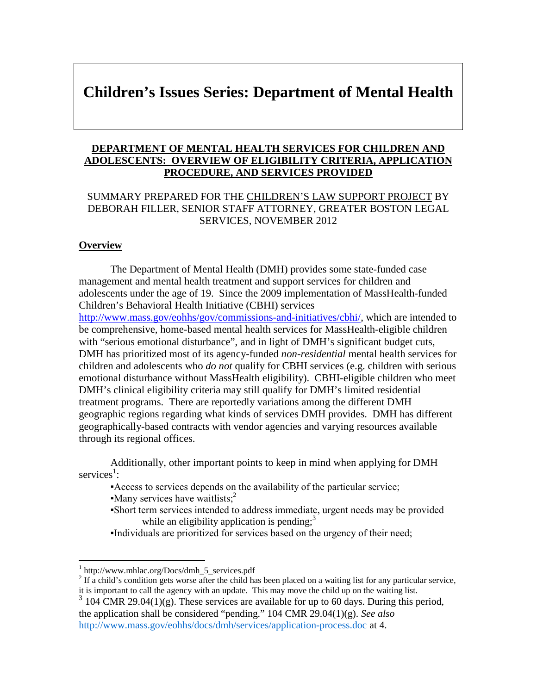# **Children's Issues Series: Department of Mental Health**

### **DEPARTMENT OF MENTAL HEALTH SERVICES FOR CHILDREN AND ADOLESCENTS: OVERVIEW OF ELIGIBILITY CRITERIA, APPLICATION PROCEDURE, AND SERVICES PROVIDED**

## SUMMARY PREPARED FOR THE CHILDREN'S LAW SUPPORT PROJECT BY DEBORAH FILLER, SENIOR STAFF ATTORNEY, GREATER BOSTON LEGAL SERVICES, NOVEMBER 2012

### **Overview**

The Department of Mental Health (DMH) provides some state-funded case management and mental health treatment and support services for children and adolescents under the age of 19. Since the 2009 implementation of MassHealth-funded Children's Behavioral Health Initiative (CBHI) services http://www.mass.gov/eohhs/gov/commissions-and-initiatives/cbhi/, which are intended to

be comprehensive, home-based mental health services for MassHealth-eligible children with "serious emotional disturbance", and in light of DMH's significant budget cuts, DMH has prioritized most of its agency-funded *non-residential* mental health services for children and adolescents who *do not* qualify for CBHI services (e.g. children with serious emotional disturbance without MassHealth eligibility). CBHI-eligible children who meet DMH's clinical eligibility criteria may still qualify for DMH's limited residential treatment programs. There are reportedly variations among the different DMH geographic regions regarding what kinds of services DMH provides. DMH has different geographically-based contracts with vendor agencies and varying resources available through its regional offices.

Additionally, other important points to keep in mind when applying for DMH services<sup>1</sup>:

▪Access to services depends on the availability of the particular service; Many services have waitlists;<sup>2</sup>

- ▪Short term services intended to address immediate, urgent needs may be provided while an eligibility application is pending; $3$
- ▪Individuals are prioritized for services based on the urgency of their need;

<sup>1</sup> http://www.mhlac.org/Docs/dmh\_5\_services.pdf

 $2<sup>2</sup>$  If a child's condition gets worse after the child has been placed on a waiting list for any particular service, it is important to call the agency with an update. This may move the child up on the waiting list.

 $3\overline{)104}$  CMR 29.04(1)(g). These services are available for up to 60 days. During this period, the application shall be considered "pending." 104 CMR 29.04(1)(g). *See also* http://www.mass.gov/eohhs/docs/dmh/services/application-process.doc at 4.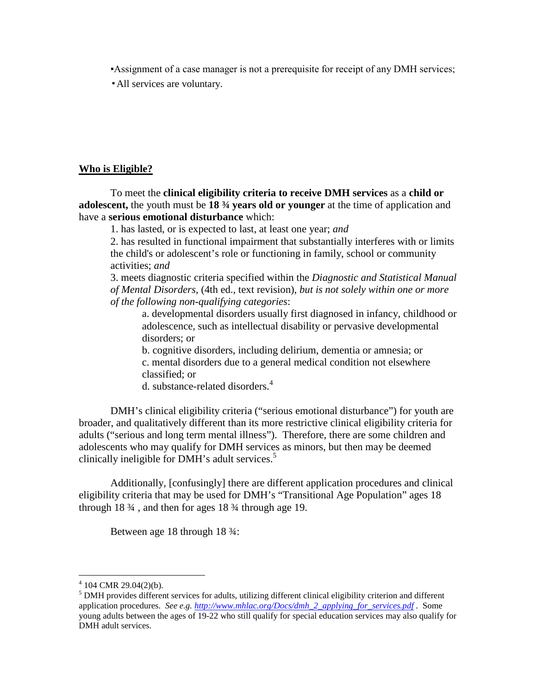▪Assignment of a case manager is not a prerequisite for receipt of any DMH services;

▪All services are voluntary.

#### **Who is Eligible?**

To meet the **clinical eligibility criteria to receive DMH services** as a **child or adolescent,** the youth must be **18 ¾ years old or younger** at the time of application and have a **serious emotional disturbance** which:

1. has lasted, or is expected to last, at least one year; *and*

2. has resulted in functional impairment that substantially interferes with or limits the child's or adolescent's role or functioning in family, school or community activities; *and*

3. meets diagnostic criteria specified within the *Diagnostic and Statistical Manual of Mental Disorders*, (4th ed., text revision), *but is not solely within one or more of the following non-qualifying categories*:

a. developmental disorders usually first diagnosed in infancy, childhood or adolescence, such as intellectual disability or pervasive developmental disorders; or

b. cognitive disorders, including delirium, dementia or amnesia; or c. mental disorders due to a general medical condition not elsewhere classified; or

d. substance-related disorders.<sup>4</sup>

DMH's clinical eligibility criteria ("serious emotional disturbance") for youth are broader, and qualitatively different than its more restrictive clinical eligibility criteria for adults ("serious and long term mental illness"). Therefore, there are some children and adolescents who may qualify for DMH services as minors, but then may be deemed clinically ineligible for  $DMH$ 's adult services.<sup>5</sup>

Additionally, [confusingly] there are different application procedures and clinical eligibility criteria that may be used for DMH's "Transitional Age Population" ages 18 through  $18\frac{3}{4}$ , and then for ages  $18\frac{3}{4}$  through age 19.

Between age 18 through 18 ¾:

 $4\,$  104 CMR 29.04(2)(b).

 $<sup>5</sup>$  DMH provides different services for adults, utilizing different clinical eligibility criterion and different</sup> application procedures. *See e.g. http://www.mhlac.org/Docs/dmh\_2\_applying\_for\_services.pdf .* Some young adults between the ages of 19-22 who still qualify for special education services may also qualify for DMH adult services.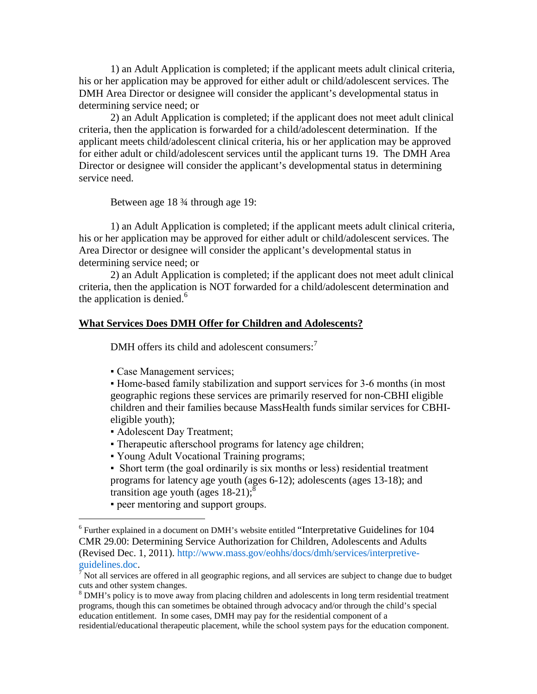1) an Adult Application is completed; if the applicant meets adult clinical criteria, his or her application may be approved for either adult or child/adolescent services. The DMH Area Director or designee will consider the applicant's developmental status in determining service need; or

2) an Adult Application is completed; if the applicant does not meet adult clinical criteria, then the application is forwarded for a child/adolescent determination. If the applicant meets child/adolescent clinical criteria, his or her application may be approved for either adult or child/adolescent services until the applicant turns 19. The DMH Area Director or designee will consider the applicant's developmental status in determining service need.

Between age 18 ¾ through age 19:

1) an Adult Application is completed; if the applicant meets adult clinical criteria, his or her application may be approved for either adult or child/adolescent services. The Area Director or designee will consider the applicant's developmental status in determining service need; or

2) an Adult Application is completed; if the applicant does not meet adult clinical criteria, then the application is NOT forwarded for a child/adolescent determination and the application is denied. $<sup>6</sup>$ </sup>

#### **What Services Does DMH Offer for Children and Adolescents?**

DMH offers its child and adolescent consumers:<sup>7</sup>

• Case Management services;

▪ Home-based family stabilization and support services for 3-6 months (in most geographic regions these services are primarily reserved for non-CBHI eligible children and their families because MassHealth funds similar services for CBHIeligible youth);

- Adolescent Day Treatment;
- Therapeutic afterschool programs for latency age children;
- Young Adult Vocational Training programs;

• Short term (the goal ordinarily is six months or less) residential treatment programs for latency age youth (ages 6-12); adolescents (ages 13-18); and transition age youth (ages  $18-21$ );<sup>8</sup>

▪ peer mentoring and support groups.

<sup>&</sup>lt;sup>6</sup> Further explained in a document on DMH's website entitled "Interpretative Guidelines for 104 CMR 29.00: Determining Service Authorization for Children, Adolescents and Adults (Revised Dec. 1, 2011). http://www.mass.gov/eohhs/docs/dmh/services/interpretiveguidelines.doc.

<sup>7</sup> Not all services are offered in all geographic regions, and all services are subject to change due to budget cuts and other system changes.

<sup>&</sup>lt;sup>8</sup> DMH's policy is to move away from placing children and adolescents in long term residential treatment programs, though this can sometimes be obtained through advocacy and/or through the child's special education entitlement. In some cases, DMH may pay for the residential component of a

residential/educational therapeutic placement, while the school system pays for the education component.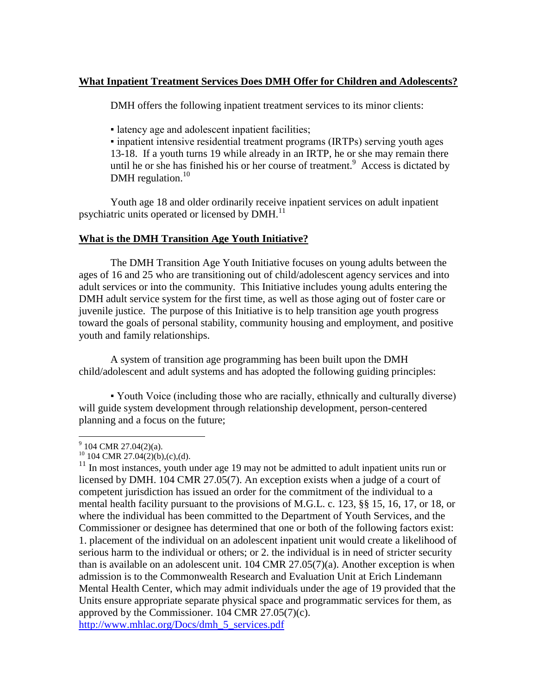## **What Inpatient Treatment Services Does DMH Offer for Children and Adolescents?**

DMH offers the following inpatient treatment services to its minor clients:

▪ latency age and adolescent inpatient facilities;

▪ inpatient intensive residential treatment programs (IRTPs) serving youth ages 13-18. If a youth turns 19 while already in an IRTP, he or she may remain there until he or she has finished his or her course of treatment.<sup>9</sup> Access is dictated by DMH regulation. $10$ 

Youth age 18 and older ordinarily receive inpatient services on adult inpatient psychiatric units operated or licensed by  $DMH<sup>11</sup>$ 

## **What is the DMH Transition Age Youth Initiative?**

The DMH Transition Age Youth Initiative focuses on young adults between the ages of 16 and 25 who are transitioning out of child/adolescent agency services and into adult services or into the community. This Initiative includes young adults entering the DMH adult service system for the first time, as well as those aging out of foster care or juvenile justice. The purpose of this Initiative is to help transition age youth progress toward the goals of personal stability, community housing and employment, and positive youth and family relationships.

A system of transition age programming has been built upon the DMH child/adolescent and adult systems and has adopted the following guiding principles:

▪ Youth Voice (including those who are racially, ethnically and culturally diverse) will guide system development through relationship development, person-centered planning and a focus on the future;

 $9$  104 CMR 27.04(2)(a).

 $^{10}$  104 CMR 27.04(2)(b),(c),(d).

<sup>&</sup>lt;sup>11</sup> In most instances, youth under age 19 may not be admitted to adult inpatient units run or licensed by DMH. 104 CMR 27.05(7). An exception exists when a judge of a court of competent jurisdiction has issued an order for the commitment of the individual to a mental health facility pursuant to the provisions of M.G.L. c. 123, §§ 15, 16, 17, or 18, or where the individual has been committed to the Department of Youth Services, and the Commissioner or designee has determined that one or both of the following factors exist: 1. placement of the individual on an adolescent inpatient unit would create a likelihood of serious harm to the individual or others; or 2. the individual is in need of stricter security than is available on an adolescent unit.  $104 \text{ CMR } 27.05(7)(a)$ . Another exception is when admission is to the Commonwealth Research and Evaluation Unit at Erich Lindemann Mental Health Center, which may admit individuals under the age of 19 provided that the Units ensure appropriate separate physical space and programmatic services for them, as approved by the Commissioner. 104 CMR 27.05(7)(c). http://www.mhlac.org/Docs/dmh\_5\_services.pdf